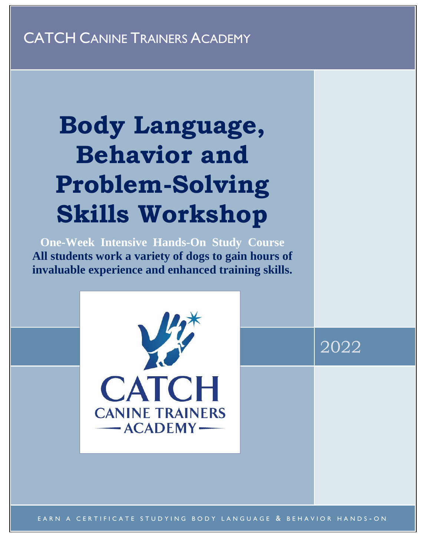## CATCH CANINE TRAINERS ACADEMY

# **Body Language, Behavior and Problem-Solving Skills Workshop**

**One-Week Intensive Hands-On Study Course All students work a variety of dogs to gain hours of invaluable experience and enhanced training skills.**



EARN A CERTIFICATE STUDYING BODY LANGUAGE & BEHAVIOR HANDS-ON

2022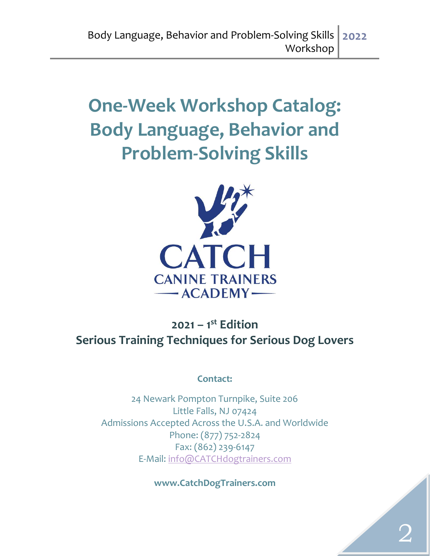## **One-Week Workshop Catalog: Body Language, Behavior and Problem-Solving Skills**



## **2021 – 1 st Edition Serious Training Techniques for Serious Dog Lovers**

**Contact:**

24 Newark Pompton Turnpike, Suite 206 Little Falls, NJ 07424 Admissions Accepted Across the U.S.A. and Worldwide Phone: (877) 752-2824 Fax: (862) 239-6147 E-Mail: [info@CATCHdogtrainers.com](mailto:info@CATCHdogtrainers.com)

**www.CatchDogTrainers.com**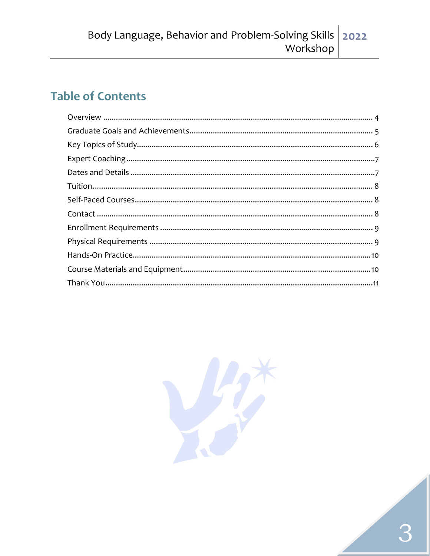## **Table of Contents**

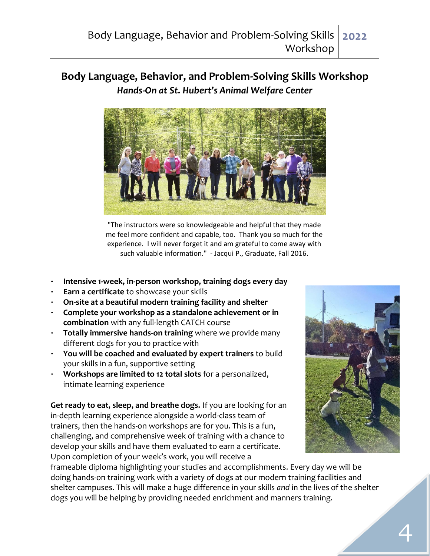#### **Body Language, Behavior, and Problem-Solving Skills Workshop**  *Hands-On at St. Hubert's Animal Welfare Center*



"The instructors were so knowledgeable and helpful that they made me feel more confident and capable, too. Thank you so much for the experience. I will never forget it and am grateful to come away with such valuable information." - Jacqui P., Graduate, Fall 2016.

- **Intensive 1-week, in-person workshop, training dogs every day**
- **Earn a certificate** to showcase your skills
- **On-site at a beautiful modern training facility and shelter**
- **Complete your workshop as a standalone achievement or in combination** with [any full-length CATCH course](http://catchdogtrainers.com/our-program/courses-tuition/)
- **Totally immersive hands-on training** where we provide many different dogs for you to practice with
- **You will be coached and evaluated by expert trainers** to build your skills in a fun, supportive setting
- **Workshops are limited to 12 total slots** for a personalized, intimate learning experience

**Get ready to eat, sleep, and breathe dogs.** If you are looking for an in-depth learning experience alongside a world-class team of trainers, then the hands-on workshops are for you. This is a fun, challenging, and comprehensive week of training with a chance to develop your skills and have them evaluated to earn a certificate. Upon completion of your week's work, you will receive a



frameable diploma highlighting your studies and accomplishments. Every day we will be doing hands-on training work with a variety of dogs at our modern training facilities and shelter campuses. This will make a huge difference in your skills *and* in the lives of the shelter dogs you will be helping by providing needed enrichment and manners training.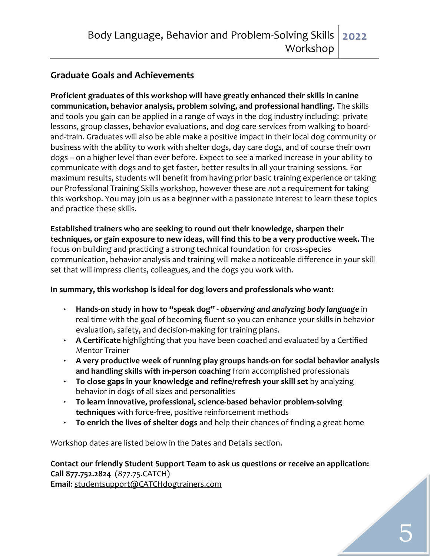#### **Graduate Goals and Achievements**

**Proficient graduates of this workshop will have greatly enhanced their skills in canine communication, behavior analysis, problem solving, and professional handling.** The skills and tools you gain can be applied in a range of ways in the dog industry including: private lessons, group classes, behavior evaluations, and dog care services from walking to boardand-train. Graduates will also be able make a positive impact in their local dog community or business with the ability to work with shelter dogs, day care dogs, and of course their own dogs – on a higher level than ever before. Expect to see a marked increase in your ability to communicate with dogs and to get faster, better results in all your training sessions. For maximum results, students will benefit from having prior basic training experience or taking our Professional Training Skills workshop, however these are *not* a requirement for taking this workshop. You may join us as a beginner with a passionate interest to learn these topics and practice these skills.

**Established trainers who are seeking to round out their knowledge, sharpen their techniques, or gain exposure to new ideas, will find this to be a very productive week.** The focus on building and practicing a strong technical foundation for cross-species communication, behavior analysis and training will make a noticeable difference in your skill set that will impress clients, colleagues, and the dogs you work with.

#### **In summary, this workshop is ideal for dog lovers and professionals who want:**

- **Hands-on study in how to "speak dog" -** *observing and analyzing body language* in real time with the goal of becoming fluent so you can enhance your skills in behavior evaluation, safety, and decision-making for training plans.
- **A Certificate** highlighting that you have been coached and evaluated by a Certified Mentor Trainer
- **A very productive week of running play groups hands-on for social behavior analysis and handling skills with in-person coaching** from accomplished professionals
- **To close gaps in your knowledge and refine/refresh your skill set** by analyzing behavior in dogs of all sizes and personalities
- **To learn innovative, professional, science-based behavior problem-solving techniques** with force-free, positive reinforcement methods
- **To enrich the lives of shelter dogs** and help their chances of finding a great home

Workshop dates are listed below in the Dates and Details section.

#### **Contact our friendly Student Support Team to ask us questions or receive an application: Call 877.752.2824** (877.75.CATCH) **Email**: [studentsupport@CATCHdogtrainers.com](mailto:studentsupport@CATCHdogtrainers.com)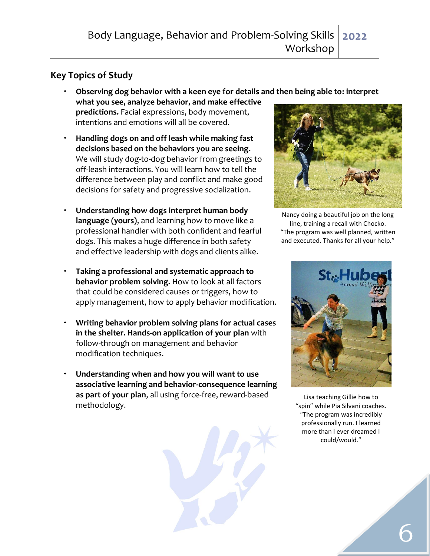#### <span id="page-5-0"></span>**Key Topics of Study**

- **Observing dog behavior with a keen eye for details and then being able to: interpret what you see, analyze behavior, and make effective predictions.** Facial expressions, body movement, intentions and emotions will all be covered.
- **Handling dogs on and off leash while making fast decisions based on the behaviors you are seeing.**  We will study dog-to-dog behavior from greetings to off-leash interactions. You will learn how to tell the difference between play and conflict and make good decisions for safety and progressive socialization.
- **Understanding how dogs interpret human body language (yours)**, and learning how to move like a professional handler with both confident and fearful dogs. This makes a huge difference in both safety and effective leadership with dogs and clients alike.
- **Taking a professional and systematic approach to behavior problem solving.** How to look at all factors that could be considered causes or triggers, how to apply management, how to apply behavior modification.
- **Writing behavior problem solving plans for actual cases in the shelter. Hands-on application of your plan** with follow-through on management and behavior modification techniques.
- <span id="page-5-1"></span> **Understanding when and how you will want to use associative learning and behavior-consequence learning as part of your plan**, all using force-free, reward-based methodology.





Nancy doing a beautiful job on the long line, training a recall with Chocko. "The program was well planned, written and executed. Thanks for all your help."



Lisa teaching Gillie how to "spin" while Pia Silvani coaches. "The program was incredibly professionally run. I learned more than I ever dreamed I could/would."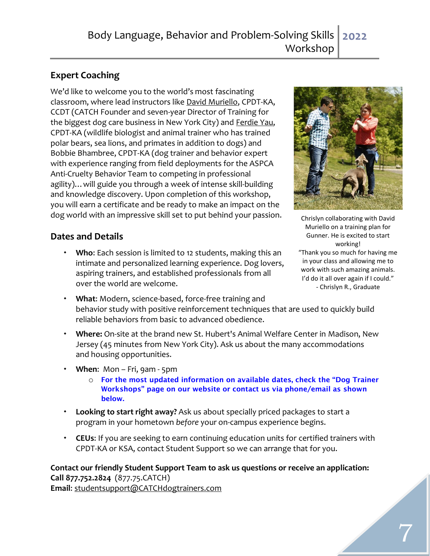#### **Expert Coaching**

We'd like to welcome you to the world's most fascinating classroom, where lead instructors like [David Muriello,](http://catchdogtrainers.com/who-we-are/school-director/) CPDT-KA, CCDT (CATCH Founder and seven-year Director of Training for the biggest dog care business in New York City) and [Ferdie Yau,](http://www.sitsnwiggles.com/meetthetrainer/) CPDT-KA (wildlife biologist and animal trainer who has trained polar bears, sea lions, and primates in addition to dogs) and Bobbie Bhambree, CPDT-KA (dog trainer and behavior expert with experience ranging from field deployments for the ASPCA Anti-Cruelty Behavior Team to competing in professional agility)…will guide you through a week of intense skill-building and knowledge discovery. Upon completion of this workshop, you will earn a certificate and be ready to make an impact on the dog world with an impressive skill set to put behind your passion.

#### <span id="page-6-0"></span>**Dates and Details**

 **Who**: Each session is limited to 12 students, making this an intimate and personalized learning experience. Dog lovers, aspiring trainers, and established professionals from all over the world are welcome.



Chrislyn collaborating with David Muriello on a training plan for Gunner. He is excited to start working! "Thank you so much for having me in your class and allowing me to work with such amazing animals. I'd do it all over again if I could." - Chrislyn R., Graduate

- **What**: Modern, science-based, force-free training and behavior study with positive reinforcement techniques that are used to quickly build reliable behaviors from basic to advanced obedience.
- **Where:** On-site at the brand new St. Hubert's Animal Welfare Center in Madison, New Jersey (45 minutes from New York City). Ask us about the many accommodations and housing opportunities.
- **When**: Mon Fri, 9am 5pm
	- o For the most updated information on available dates, check the "Dog Trainer Workshops" page on our website or contact us via phone/email as shown below.
- **Looking to start right away?** [Ask us](http://catchdogtrainers.com/our-program/quick-application/) about specially priced packages to start a program in your hometown *before* your on-campus experience begins.
- **CEUs**: If you are seeking to earn continuing education units for certified trainers with CPDT-KA or KSA, contact Student Support so we can arrange that for you.

<span id="page-6-1"></span>**Contact our friendly Student Support Team to ask us questions or receive an application: Call 877.752.2824** (877.75.CATCH) **Email**: [studentsupport@CATCHdogtrainers.com](mailto:studentsupport@CATCHdogtrainers.com)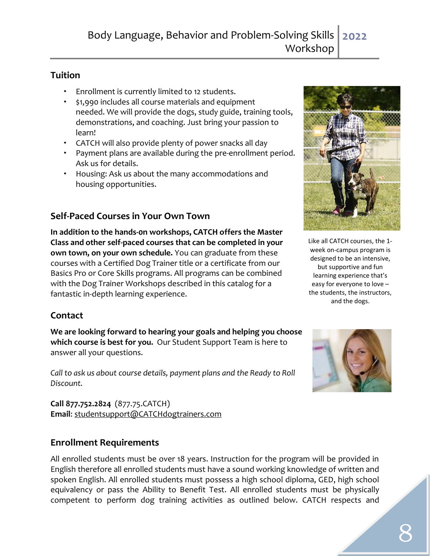#### **Tuition**

- Enrollment is currently limited to 12 students.
- \$1,990 includes all course materials and equipment needed. We will provide the dogs, study guide, training tools, demonstrations, and coaching. Just bring your passion to learn!
- CATCH will also provide plenty of power snacks all day
- Payment plans are available during the pre-enrollment period. Ask us for details.
- Housing: Ask us about the many accommodations and housing opportunities.

#### <span id="page-7-0"></span>**Self-Paced Courses in Your Own Town**

**In addition to the hands-0n workshops, CATCH offers the Master Class and other self-paced courses that can be completed in your own town, on your own schedule.** You can graduate from these courses with a Certified Dog Trainer title or a certificate from our Basics Pro or Core Skills programs. All programs can be combined with the Dog Trainer Workshops described in this catalog for a fantastic in-depth learning experience.

#### <span id="page-7-1"></span>**Contact**

**We are looking forward to hearing your goals and helping you choose which course is best for you.** Our Student Support Team is here to answer all your questions.

*Call to ask us about course details, payment plans and the Ready to Roll Discount.*

**Call 877.752.2824** (877.75.CATCH) **Email**: [studentsupport@CATCHdogtrainers.com](mailto:studentsupport@CATCHdogtrainers.com)

#### <span id="page-7-2"></span>**Enrollment Requirements**

All enrolled students must be over 18 years. Instruction for the program will be provided in English therefore all enrolled students must have a sound working knowledge of written and spoken English. All enrolled students must possess a high school diploma, GED, high school equivalency or pass the Ability to Benefit Test. All enrolled students must be physically competent to perform dog training activities as outlined below. CATCH respects and



Like all CATCH courses, the 1 week on-campus program is designed to be an intensive, but supportive and fun learning experience that's easy for everyone to love – the students, the instructors, and the dogs.

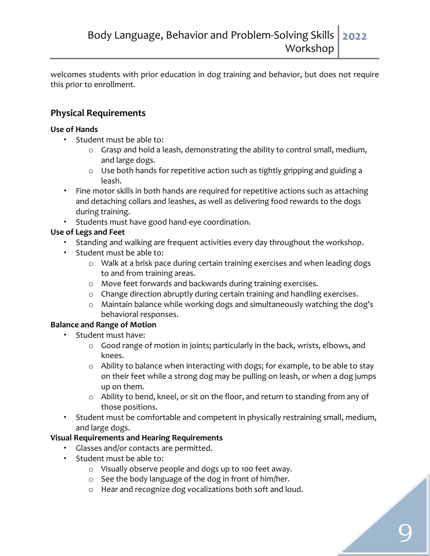welcomes students with prior education in dog training and behavior, but does not require this prior to enrollment.

#### <span id="page-8-0"></span>**Physical Requirements**

#### **Use of Hands**

- Student must be able to:
	- o Grasp and hold a leash, demonstrating the ability to control small, medium, and large dogs.
	- o Use both hands for repetitive action such as tightly gripping and guiding a leash.
- Fine motor skills in both hands are required for repetitive actions such as attaching and detaching collars and leashes, as well as delivering food rewards to the dogs during training.
- \* Students must have good hand-eye coordination.

#### **Use of Legs and Feet**

- Standing and walking are frequent activities every day throughout the workshop.
- Student must be able to:
	- o Walk at a brisk pace during certain training exercises and when leading dogs to and from training areas.
	- o Move feet forwards and backwards during training exercises.
	- o Change direction abruptly during certain training and handling exercises.
	- o Maintain balance while working dogs and simultaneously watching the dog's behavioral responses.

#### **Balance and Range of Motion**

- Student must have:
	- o Good range of motion in joints; particularly in the back, wrists, elbows, and knees.
	- o Ability to balance when interacting with dogs; for example, to be able to stay on their feet while a strong dog may be pulling on leash, or when a dog jumps up on them.
	- o Ability to bend, kneel, or sit on the floor, and return to standing from any of those positions.
- Student must be comfortable and competent in physically restraining small, medium, and large dogs.

#### **Visual Requirements and Hearing Requirements**

- Glasses and/or contacts are permitted.
- Student must be able to:
	- o Visually observe people and dogs up to 100 feet away.
	- o See the body language of the dog in front of him/her.
	- o Hear and recognize dog vocalizations both soft and loud.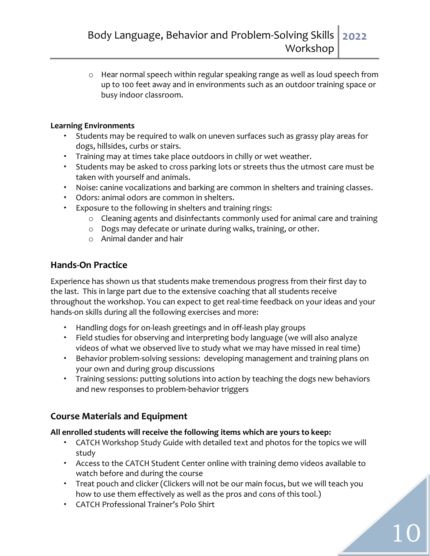o Hear normal speech within regular speaking range as well as loud speech from up to 100 feet away and in environments such as an outdoor training space or busy indoor classroom.

#### **Learning Environments**

- Students may be required to walk on uneven surfaces such as grassy play areas for dogs, hillsides, curbs or stairs.
- Training may at times take place outdoors in chilly or wet weather.
- Students may be asked to cross parking lots or streets thus the utmost care must be taken with yourself and animals.
- Noise: canine vocalizations and barking are common in shelters and training classes.
- Odors: animal odors are common in shelters.
- Exposure to the following in shelters and training rings:
	- o Cleaning agents and disinfectants commonly used for animal care and training
	- o Dogs may defecate or urinate during walks, training, or other.
	- o Animal dander and hair

#### <span id="page-9-0"></span>**Hands-On Practice**

<span id="page-9-1"></span>Experience has shown us that students make tremendous progress from their first day to the last. This in large part due to the extensive coaching that all students receive throughout the workshop. You can expect to get real-time feedback on your ideas and your hands-on skills during all the following exercises and more:

- Handling dogs for on-leash greetings and in off-leash play groups
- Field studies for observing and interpreting body language (we will also analyze videos of what we observed live to study what we may have missed in real time)
- Behavior problem-solving sessions: developing management and training plans on your own and during group discussions
- Training sessions: putting solutions into action by teaching the dogs new behaviors and new responses to problem-behavior triggers

#### <span id="page-9-2"></span>**Course Materials and Equipment**

#### **All enrolled students will receive the following items which are yours to keep:**

- CATCH Workshop Study Guide with detailed text and photos for the topics we will study
- Access to the CATCH Student Center online with training demo videos available to watch before and during the course
- Treat pouch and clicker (Clickers will not be our main focus, but we will teach you how to use them effectively as well as the pros and cons of this tool.)
- CATCH Professional Trainer's Polo Shirt